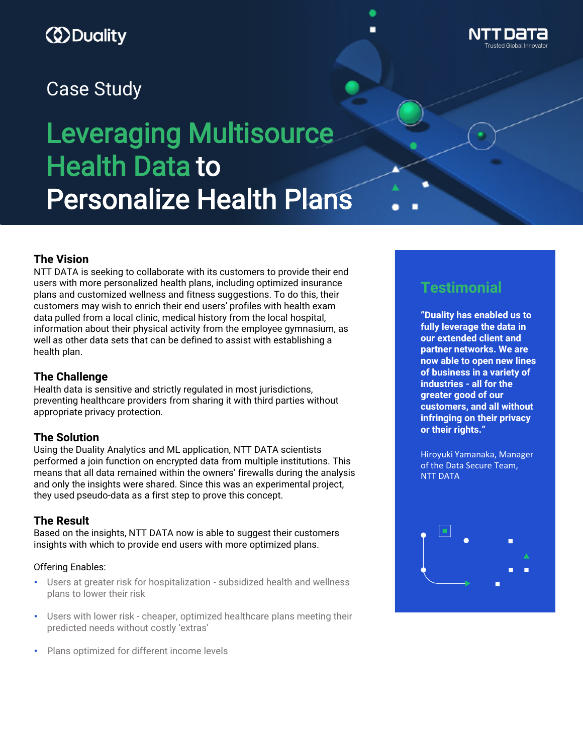## *ED* Duality



# Leveraging Multisource Health Data to Personalize Health Plans

#### **The Vision**

NTT DATA is seeking to collaborate with its customers to provide their end users with more personalized health plans, including optimized insurance plans and customized wellness and fitness suggestions. To do this, their customers may wish to enrich their end users' profiles with health exam data pulled from a local clinic, medical history from the local hospital, information about their physical activity from the employee gymnasium, as well as other data sets that can be defined to assist with establishing a health plan.

#### **The Challenge**

Health data is sensitive and strictly regulated in most jurisdictions, preventing healthcare providers from sharing it with third parties without appropriate privacy protection.

#### **The Solution**

Using the Duality Analytics and ML application, NTT DATA scientists performed a join function on encrypted data from multiple institutions. This means that all data remained within the owners' firewalls during the analysis and only the insights were shared. Since this was an experimental project, they used pseudo-data as a first step to prove this concept.

#### **The Result**

Based on the insights, NTT DATA now is able to suggest their customers insights with which to provide end users with more optimized plans.

#### Offering Enables:

- Users at greater risk for hospitalization subsidized health and wellness plans to lower their risk
- Users with lower risk cheaper, optimized healthcare plans meeting their predicted needs without costly 'extras'
- Plans optimized for different income levels

## **Testimonial**

**"Duality has enabled us to fully leverage the data in our extended client and partner networks. We are now able to open new lines of business in a variety of industries - all for the greater good of our customers, and all without infringing on their privacy or their rights."**

Hiroyuki Yamanaka, Manager of the Data Secure Team, NTT DATA